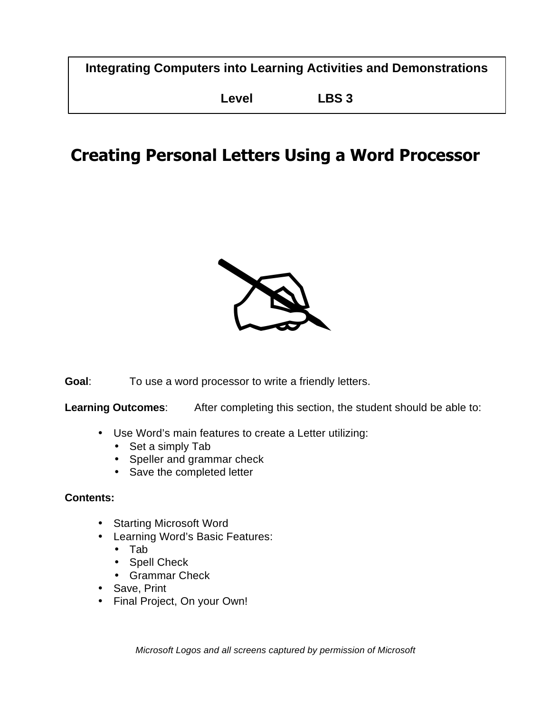**Integrating Computers into Learning Activities and Demonstrations**

**Level LBS 3**

# **Creating Personal Letters Using a Word Processor**



**Goal**: To use a word processor to write a friendly letters.

**Learning Outcomes**: After completing this section, the student should be able to:

- Use Word's main features to create a Letter utilizing:
	- Set a simply Tab
	- Speller and grammar check
	- Save the completed letter

#### **Contents:**

- Starting Microsoft Word
- Learning Word's Basic Features:
	- Tab
	- Spell Check
	- Grammar Check
- Save, Print
- Final Project, On your Own!

*Microsoft Logos and all screens captured by permission of Microsoft*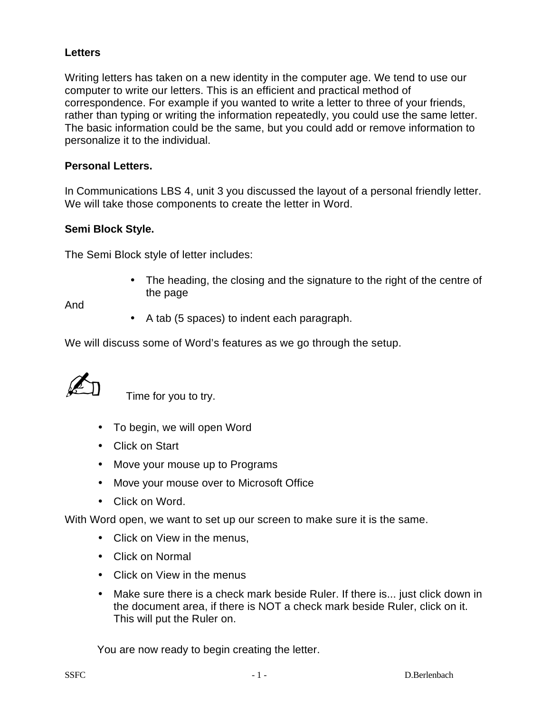#### **Letters**

Writing letters has taken on a new identity in the computer age. We tend to use our computer to write our letters. This is an efficient and practical method of correspondence. For example if you wanted to write a letter to three of your friends, rather than typing or writing the information repeatedly, you could use the same letter. The basic information could be the same, but you could add or remove information to personalize it to the individual.

#### **Personal Letters.**

In Communications LBS 4, unit 3 you discussed the layout of a personal friendly letter. We will take those components to create the letter in Word.

#### **Semi Block Style.**

The Semi Block style of letter includes:

• The heading, the closing and the signature to the right of the centre of the page

And

• A tab (5 spaces) to indent each paragraph.

We will discuss some of Word's features as we go through the setup.

Time for you to try.

- To begin, we will open Word
- Click on Start
- Move your mouse up to Programs
- Move your mouse over to Microsoft Office
- Click on Word.

With Word open, we want to set up our screen to make sure it is the same.

- Click on View in the menus,
- Click on Normal
- Click on View in the menus
- Make sure there is a check mark beside Ruler. If there is... just click down in the document area, if there is NOT a check mark beside Ruler, click on it. This will put the Ruler on.

You are now ready to begin creating the letter.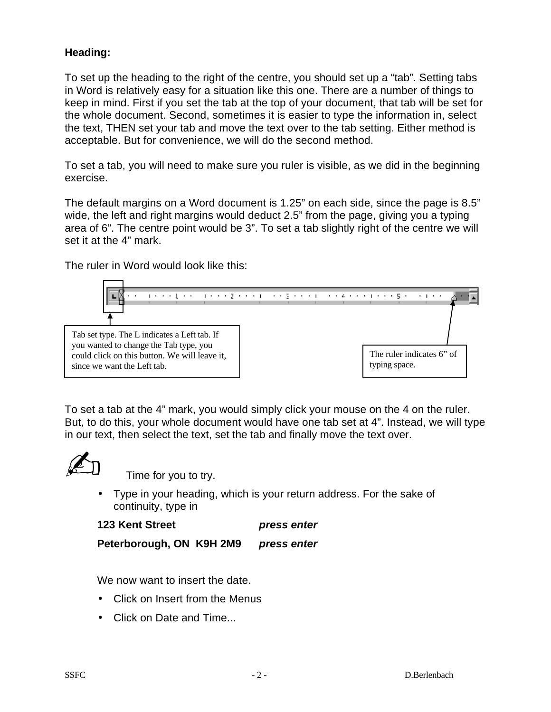### **Heading:**

To set up the heading to the right of the centre, you should set up a "tab". Setting tabs in Word is relatively easy for a situation like this one. There are a number of things to keep in mind. First if you set the tab at the top of your document, that tab will be set for the whole document. Second, sometimes it is easier to type the information in, select the text, THEN set your tab and move the text over to the tab setting. Either method is acceptable. But for convenience, we will do the second method.

To set a tab, you will need to make sure you ruler is visible, as we did in the beginning exercise.

The default margins on a Word document is 1.25" on each side, since the page is 8.5" wide, the left and right margins would deduct 2.5" from the page, giving you a typing area of 6". The centre point would be 3". To set a tab slightly right of the centre we will set it at the 4" mark.

The ruler in Word would look like this:



To set a tab at the 4" mark, you would simply click your mouse on the 4 on the ruler. But, to do this, your whole document would have one tab set at 4". Instead, we will type in our text, then select the text, set the tab and finally move the text over.



Time for you to try.

• Type in your heading, which is your return address. For the sake of continuity, type in

```
123 Kent Street press enter
```
**Peterborough, ON K9H 2M9** *press enter*

We now want to insert the date.

- Click on Insert from the Menus
- Click on Date and Time...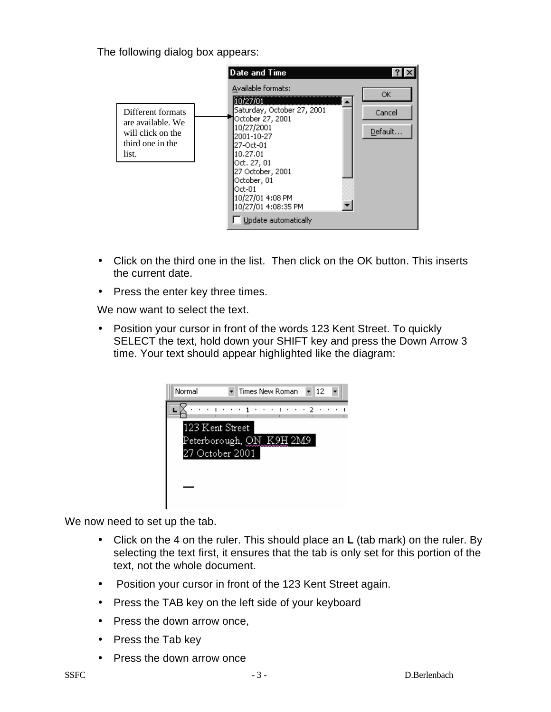The following dialog box appears:

|                                                                                          | Date and Time                                                                                                                                                                                                                                            |                         |
|------------------------------------------------------------------------------------------|----------------------------------------------------------------------------------------------------------------------------------------------------------------------------------------------------------------------------------------------------------|-------------------------|
| Different formats<br>are available. We<br>will click on the<br>third one in the<br>list. | Available formats:<br>Saturday, October 27, 2001<br>October 27, 2001<br>10/27/2001<br>2001-10-27<br>27-Oct-01<br>10.27.01<br>Oct. 27, 01<br>27 October, 2001<br>October, 01<br>Oct-01<br>10/27/01 4:08 PM<br>10/27/01 4:08:35 PM<br>Update automatically | ОK<br>Cancel<br>Default |

- Click on the third one in the list. Then click on the OK button. This inserts the current date.
- Press the enter key three times.

We now want to select the text.

• Position your cursor in front of the words 123 Kent Street. To quickly SELECT the text, hold down your SHIFT key and press the Down Arrow 3 time. Your text should appear highlighted like the diagram:

| Normal          | ∎12<br>Times New Roman   |  |
|-----------------|--------------------------|--|
|                 |                          |  |
| 123 Kent Street | Peterborough, QN K9H 2M9 |  |
| 27 October 2001 |                          |  |
|                 |                          |  |

We now need to set up the tab.

- Click on the 4 on the ruler. This should place an **L** (tab mark) on the ruler. By selecting the text first, it ensures that the tab is only set for this portion of the text, not the whole document.
- Position your cursor in front of the 123 Kent Street again.
- Press the TAB key on the left side of your keyboard
- Press the down arrow once,
- Press the Tab key
- Press the down arrow once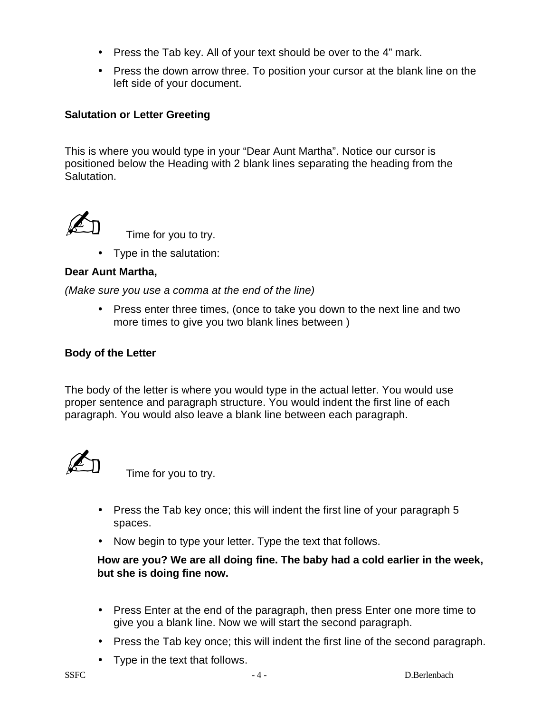- Press the Tab key. All of your text should be over to the 4" mark.
- Press the down arrow three. To position your cursor at the blank line on the left side of your document.

#### **Salutation or Letter Greeting**

This is where you would type in your "Dear Aunt Martha". Notice our cursor is positioned below the Heading with 2 blank lines separating the heading from the Salutation.



Time for you to try.

• Type in the salutation:

#### **Dear Aunt Martha,**

*(Make sure you use a comma at the end of the line)*

• Press enter three times, (once to take you down to the next line and two more times to give you two blank lines between )

#### **Body of the Letter**

The body of the letter is where you would type in the actual letter. You would use proper sentence and paragraph structure. You would indent the first line of each paragraph. You would also leave a blank line between each paragraph.



Time for you to try.

- Press the Tab key once; this will indent the first line of your paragraph 5 spaces.
- Now begin to type your letter. Type the text that follows.

**How are you? We are all doing fine. The baby had a cold earlier in the week, but she is doing fine now.** 

- Press Enter at the end of the paragraph, then press Enter one more time to give you a blank line. Now we will start the second paragraph.
- Press the Tab key once; this will indent the first line of the second paragraph.
- Type in the text that follows.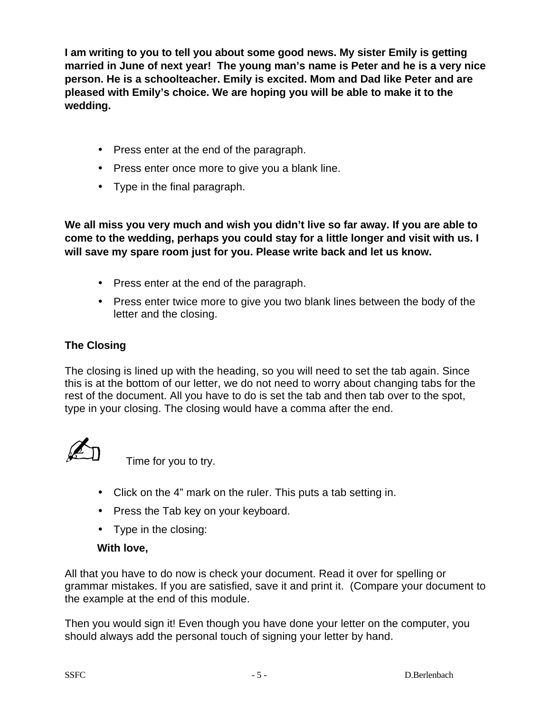**I am writing to you to tell you about some good news. My sister Emily is getting married in June of next year! The young man's name is Peter and he is a very nice person. He is a schoolteacher. Emily is excited. Mom and Dad like Peter and are pleased with Emily's choice. We are hoping you will be able to make it to the wedding.**

- Press enter at the end of the paragraph.
- Press enter once more to give you a blank line.
- Type in the final paragraph.

**We all miss you very much and wish you didn't live so far away. If you are able to come to the wedding, perhaps you could stay for a little longer and visit with us. I will save my spare room just for you. Please write back and let us know.**

- Press enter at the end of the paragraph.
- Press enter twice more to give you two blank lines between the body of the letter and the closing.

## **The Closing**

The closing is lined up with the heading, so you will need to set the tab again. Since this is at the bottom of our letter, we do not need to worry about changing tabs for the rest of the document. All you have to do is set the tab and then tab over to the spot, type in your closing. The closing would have a comma after the end.

Time for you to try.

- Click on the 4" mark on the ruler. This puts a tab setting in.
- Press the Tab key on your keyboard.
- Type in the closing:

## **With love,**

All that you have to do now is check your document. Read it over for spelling or grammar mistakes. If you are satisfied, save it and print it. (Compare your document to the example at the end of this module.

Then you would sign it! Even though you have done your letter on the computer, you should always add the personal touch of signing your letter by hand.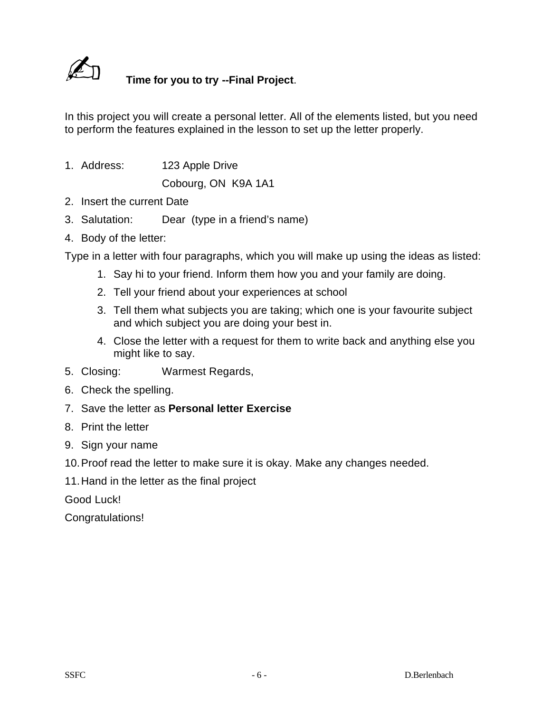

# N **Time for you to try --Final Project**.

In this project you will create a personal letter. All of the elements listed, but you need to perform the features explained in the lesson to set up the letter properly.

1. Address: 123 Apple Drive

Cobourg, ON K9A 1A1

- 2. Insert the current Date
- 3. Salutation: Dear (type in a friend's name)
- 4. Body of the letter:

Type in a letter with four paragraphs, which you will make up using the ideas as listed:

- 1. Say hi to your friend. Inform them how you and your family are doing.
- 2. Tell your friend about your experiences at school
- 3. Tell them what subjects you are taking; which one is your favourite subject and which subject you are doing your best in.
- 4. Close the letter with a request for them to write back and anything else you might like to say.
- 5. Closing: Warmest Regards,
- 6. Check the spelling.
- 7. Save the letter as **Personal letter Exercise**
- 8. Print the letter
- 9. Sign your name
- 10.Proof read the letter to make sure it is okay. Make any changes needed.
- 11.Hand in the letter as the final project

Good Luck!

Congratulations!